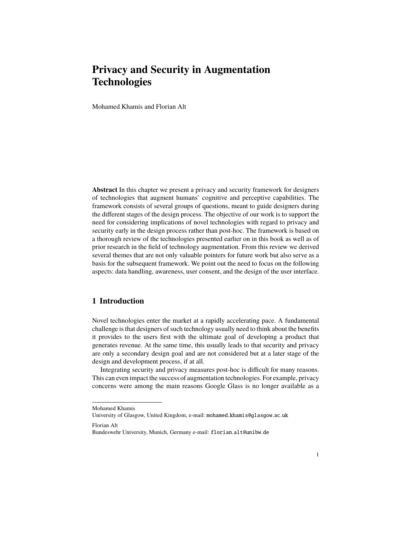# **Privacy and Security in Augmentation Technologies**

Mohamed Khamis and Florian Alt

**Abstract** In this chapter we present a privacy and security framework for designers of technologies that augment humans' cognitive and perceptive capabilities. The framework consists of several groups of questions, meant to guide designers during the different stages of the design process. The objective of our work is to support the need for considering implications of novel technologies with regard to privacy and security early in the design process rather than post-hoc. The framework is based on a thorough review of the technologies presented earlier on in this book as well as of prior research in the field of technology augmentation. From this review we derived several themes that are not only valuable pointers for future work but also serve as a basis for the subsequent framework. We point out the need to focus on the following aspects: data handling, awareness, user consent, and the design of the user interface.

# **1 Introduction**

Novel technologies enter the market at a rapidly accelerating pace. A fundamental challenge is that designers of such technology usually need to think about the benefits it provides to the users first with the ultimate goal of developing a product that generates revenue. At the same time, this usually leads to that security and privacy are only a secondary design goal and are not considered but at a later stage of the design and development process, if at all.

Integrating security and privacy measures post-hoc is difficult for many reasons. This can even impact the success of augmentation technologies. For example, privacy concerns were among the main reasons Google Glass is no longer available as a

Florian Alt Bundeswehr University, Munich, Germany e-mail: florian.alt@unibw.de

Mohamed Khamis

University of Glasgow, United Kingdom, e-mail: mohamed.khamis@glasgow.ac.uk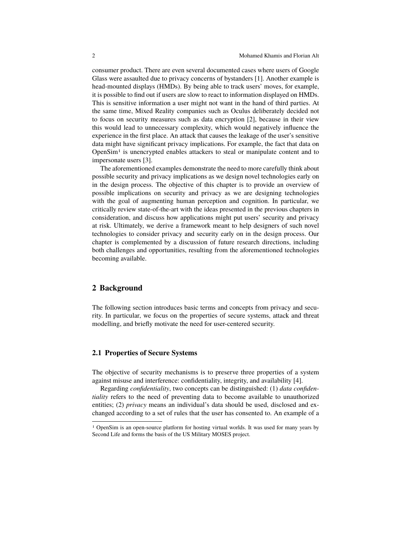consumer product. There are even several documented cases where users of Google Glass were assaulted due to privacy concerns of bystanders [1]. Another example is head-mounted displays (HMDs). By being able to track users' moves, for example, it is possible to find out if users are slow to react to information displayed on HMDs. This is sensitive information a user might not want in the hand of third parties. At the same time, Mixed Reality companies such as Oculus deliberately decided not to focus on security measures such as data encryption [2], because in their view this would lead to unnecessary complexity, which would negatively influence the experience in the first place. An attack that causes the leakage of the user's sensitive data might have significant privacy implications. For example, the fact that data on OpenSim1 is unencrypted enables attackers to steal or manipulate content and to impersonate users [3].

The aforementioned examples demonstrate the need to more carefully think about possible security and privacy implications as we design novel technologies early on in the design process. The objective of this chapter is to provide an overview of possible implications on security and privacy as we are designing technologies with the goal of augmenting human perception and cognition. In particular, we critically review state-of-the-art with the ideas presented in the previous chapters in consideration, and discuss how applications might put users' security and privacy at risk. Ultimately, we derive a framework meant to help designers of such novel technologies to consider privacy and security early on in the design process. Our chapter is complemented by a discussion of future research directions, including both challenges and opportunities, resulting from the aforementioned technologies becoming available.

# **2 Background**

The following section introduces basic terms and concepts from privacy and security. In particular, we focus on the properties of secure systems, attack and threat modelling, and briefly motivate the need for user-centered security.

#### **2.1 Properties of Secure Systems**

The objective of security mechanisms is to preserve three properties of a system against misuse and interference: confidentiality, integrity, and availability [4].

Regarding *confidentiality*, two concepts can be distinguished: (1) *data confidentiality* refers to the need of preventing data to become available to unauthorized entities; (2) *privacy* means an individual's data should be used, disclosed and exchanged according to a set of rules that the user has consented to. An example of a

<sup>1</sup> OpenSim is an open-source platform for hosting virtual worlds. It was used for many years by Second Life and forms the basis of the US Military MOSES project.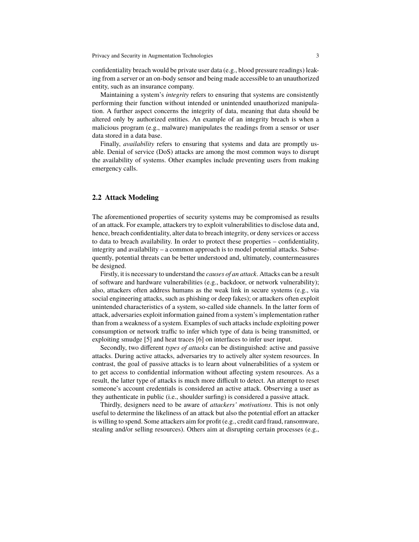confidentiality breach would be private user data (e.g., blood pressure readings) leaking from a server or an on-body sensor and being made accessible to an unauthorized entity, such as an insurance company.

Maintaining a system's *integrity* refers to ensuring that systems are consistently performing their function without intended or unintended unauthorized manipulation. A further aspect concerns the integrity of data, meaning that data should be altered only by authorized entities. An example of an integrity breach is when a malicious program (e.g., malware) manipulates the readings from a sensor or user data stored in a data base.

Finally, *availability* refers to ensuring that systems and data are promptly usable. Denial of service (DoS) attacks are among the most common ways to disrupt the availability of systems. Other examples include preventing users from making emergency calls.

### **2.2 Attack Modeling**

The aforementioned properties of security systems may be compromised as results of an attack. For example, attackers try to exploit vulnerabilities to disclose data and, hence, breach confidentiality, alter data to breach integrity, or deny services or access to data to breach availability. In order to protect these properties – confidentiality, integrity and availability – a common approach is to model potential attacks. Subsequently, potential threats can be better understood and, ultimately, countermeasures be designed.

Firstly, it is necessary to understand the *causes of an attack*. Attacks can be a result of software and hardware vulnerabilities (e.g., backdoor, or network vulnerability); also, attackers often address humans as the weak link in secure systems (e.g., via social engineering attacks, such as phishing or deep fakes); or attackers often exploit unintended characteristics of a system, so-called side channels. In the latter form of attack, adversaries exploit information gained from a system's implementation rather than from a weakness of a system. Examples of such attacks include exploiting power consumption or network traffic to infer which type of data is being transmitted, or exploiting smudge [5] and heat traces [6] on interfaces to infer user input.

Secondly, two different *types of attacks* can be distinguished: active and passive attacks. During active attacks, adversaries try to actively alter system resources. In contrast, the goal of passive attacks is to learn about vulnerabilities of a system or to get access to confidential information without affecting system resources. As a result, the latter type of attacks is much more difficult to detect. An attempt to reset someone's account credentials is considered an active attack. Observing a user as they authenticate in public (i.e., shoulder surfing) is considered a passive attack.

Thirdly, designers need to be aware of *attackers' motivations*. This is not only useful to determine the likeliness of an attack but also the potential effort an attacker is willing to spend. Some attackers aim for profit (e.g., credit card fraud, ransomware, stealing and/or selling resources). Others aim at disrupting certain processes (e.g.,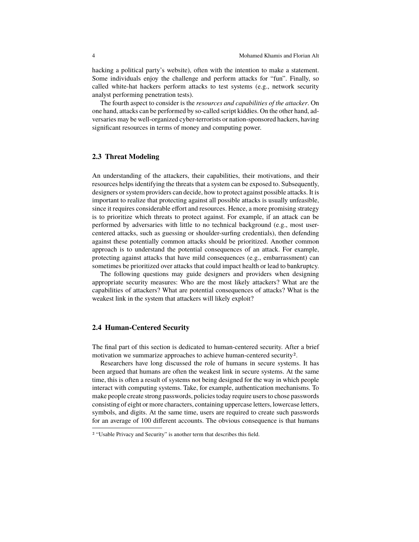hacking a political party's website), often with the intention to make a statement. Some individuals enjoy the challenge and perform attacks for "fun". Finally, so called white-hat hackers perform attacks to test systems (e.g., network security analyst performing penetration tests).

The fourth aspect to consider is the *resources and capabilities of the attacker*. On one hand, attacks can be performed by so-called script kiddies. On the other hand, adversaries may be well-organized cyber-terrorists or nation-sponsored hackers, having significant resources in terms of money and computing power.

### **2.3 Threat Modeling**

An understanding of the attackers, their capabilities, their motivations, and their resources helps identifying the threats that a system can be exposed to. Subsequently, designers or system providers can decide, how to protect against possible attacks. It is important to realize that protecting against all possible attacks is usually unfeasible, since it requires considerable effort and resources. Hence, a more promising strategy is to prioritize which threats to protect against. For example, if an attack can be performed by adversaries with little to no technical background (e.g., most usercentered attacks, such as guessing or shoulder-surfing credentials), then defending against these potentially common attacks should be prioritized. Another common approach is to understand the potential consequences of an attack. For example, protecting against attacks that have mild consequences (e.g., embarrassment) can sometimes be prioritized over attacks that could impact health or lead to bankruptcy.

The following questions may guide designers and providers when designing appropriate security measures: Who are the most likely attackers? What are the capabilities of attackers? What are potential consequences of attacks? What is the weakest link in the system that attackers will likely exploit?

# **2.4 Human-Centered Security**

The final part of this section is dedicated to human-centered security. After a brief motivation we summarize approaches to achieve human-centered security2.

Researchers have long discussed the role of humans in secure systems. It has been argued that humans are often the weakest link in secure systems. At the same time, this is often a result of systems not being designed for the way in which people interact with computing systems. Take, for example, authentication mechanisms. To make people create strong passwords, policies today require users to chose passwords consisting of eight or more characters, containing uppercase letters, lowercase letters, symbols, and digits. At the same time, users are required to create such passwords for an average of 100 different accounts. The obvious consequence is that humans

<sup>2</sup> "Usable Privacy and Security" is another term that describes this field.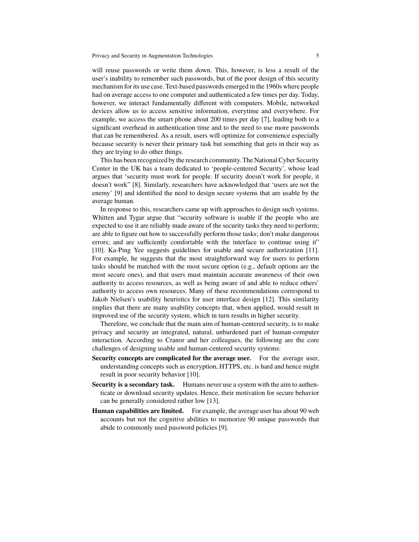will reuse passwords or write them down. This, however, is less a result of the user's inability to remember such passwords, but of the poor design of this security mechanism for its use case. Text-based passwords emerged in the 1960s where people had on average access to one computer and authenticated a few times per day. Today, however, we interact fundamentally different with computers. Mobile, networked devices allow us to access sensitive information, everytime and everywhere. For example, we access the smart phone about 200 times per day [7], leading both to a significant overhead in authentication time and to the need to use more passwords that can be remembered. As a result, users will optimize for convenience especially because security is never their primary task but something that gets in their way as they are trying to do other things.

This has been recognized by the research community. The National Cyber Security Center in the UK has a team dedicated to 'people-centered Security', whose lead argues that 'security must work for people. If security doesn't work for people, it doesn't work" [8]. Similarly, researchers have acknowledged that 'users are not the enemy' [9] and identified the need to design secure systems that are usable by the average human.

In response to this, researchers came up with approaches to design such systems. Whitten and Tygar argue that "security software is usable if the people who are expected to use it are reliably made aware of the security tasks they need to perform; are able to figure out how to successfully perform those tasks; don't make dangerous errors; and are sufficiently comfortable with the interface to continue using it" [10]. Ka-Ping Yee suggests guidelines for usable and secure authorization [11]. For example, he suggests that the most straightforward way for users to perform tasks should be matched with the most secure option (e.g., default options are the most secure ones), and that users must maintain accurate awareness of their own authority to access resources, as well as being aware of and able to reduce others' authority to access own resources. Many of these recommendations correspond to Jakob Nielsen's usability heuristics for user interface design [12]. This similarity implies that there are many usability concepts that, when applied, would result in improved use of the security system, which in turn results in higher security.

Therefore, we conclude that the main aim of human-centered security, is to make privacy and security an integrated, natural, unburdened part of human-computer interaction. According to Cranor and her colleagues, the following are the core challenges of designing usable and human-centered security systems:

- **Security concepts are complicated for the average user.** For the average user, understanding concepts such as encryption, HTTPS, etc. is hard and hence might result in poor security behavior [10].
- **Security is a secondary task.** Humans never use a system with the aim to authenticate or download security updates. Hence, their motivation for secure behavior can be generally considered rather low [13].
- **Human capabilities are limited.** For example, the average user has about 90 web accounts but not the cognitive abilities to memorize 90 unique passwords that abide to commonly used password policies [9].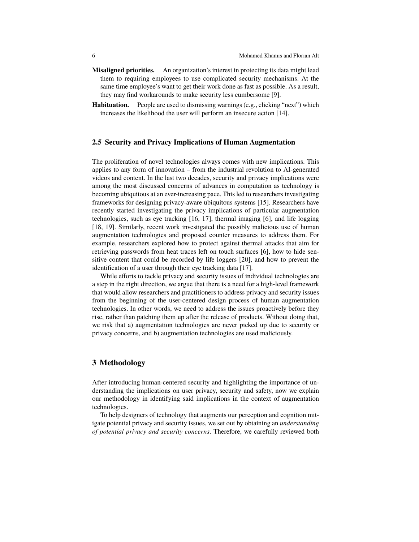- **Misaligned priorities.** An organization's interest in protecting its data might lead them to requiring employees to use complicated security mechanisms. At the same time employee's want to get their work done as fast as possible. As a result, they may find workarounds to make security less cumbersome [9].
- **Habituation.** People are used to dismissing warnings (e.g., clicking "next") which increases the likelihood the user will perform an insecure action [14].

#### **2.5 Security and Privacy Implications of Human Augmentation**

The proliferation of novel technologies always comes with new implications. This applies to any form of innovation – from the industrial revolution to AI-generated videos and content. In the last two decades, security and privacy implications were among the most discussed concerns of advances in computation as technology is becoming ubiquitous at an ever-increasing pace. This led to researchers investigating frameworks for designing privacy-aware ubiquitous systems [15]. Researchers have recently started investigating the privacy implications of particular augmentation technologies, such as eye tracking [16, 17], thermal imaging [6], and life logging [18, 19]. Similarly, recent work investigated the possibly malicious use of human augmentation technologies and proposed counter measures to address them. For example, researchers explored how to protect against thermal attacks that aim for retrieving passwords from heat traces left on touch surfaces [6], how to hide sensitive content that could be recorded by life loggers [20], and how to prevent the identification of a user through their eye tracking data [17].

While efforts to tackle privacy and security issues of individual technologies are a step in the right direction, we argue that there is a need for a high-level framework that would allow researchers and practitioners to address privacy and security issues from the beginning of the user-centered design process of human augmentation technologies. In other words, we need to address the issues proactively before they rise, rather than patching them up after the release of products. Without doing that, we risk that a) augmentation technologies are never picked up due to security or privacy concerns, and b) augmentation technologies are used maliciously.

# **3 Methodology**

After introducing human-centered security and highlighting the importance of understanding the implications on user privacy, security and safety, now we explain our methodology in identifying said implications in the context of augmentation technologies.

To help designers of technology that augments our perception and cognition mitigate potential privacy and security issues, we set out by obtaining an *understanding of potential privacy and security concerns*. Therefore, we carefully reviewed both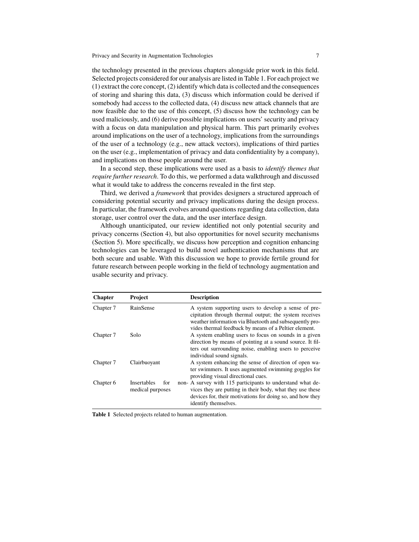the technology presented in the previous chapters alongside prior work in this field. Selected projects considered for our analysis are listed in Table 1. For each project we (1) extract the core concept, (2) identify which data is collected and the consequences of storing and sharing this data, (3) discuss which information could be derived if somebody had access to the collected data, (4) discuss new attack channels that are now feasible due to the use of this concept, (5) discuss how the technology can be used maliciously, and (6) derive possible implications on users' security and privacy with a focus on data manipulation and physical harm. This part primarily evolves around implications on the user of a technology, implications from the surroundings of the user of a technology (e.g., new attack vectors), implications of third parties on the user (e.g., implementation of privacy and data confidentiality by a company), and implications on those people around the user.

In a second step, these implications were used as a basis to *identify themes that require further research*. To do this, we performed a data walkthrough and discussed what it would take to address the concerns revealed in the first step.

Third, we derived a *framework* that provides designers a structured approach of considering potential security and privacy implications during the design process. In particular, the framework evolves around questions regarding data collection, data storage, user control over the data, and the user interface design.

Although unanticipated, our review identified not only potential security and privacy concerns (Section 4), but also opportunities for novel security mechanisms (Section 5). More specifically, we discuss how perception and cognition enhancing technologies can be leveraged to build novel authentication mechanisms that are both secure and usable. With this discussion we hope to provide fertile ground for future research between people working in the field of technology augmentation and usable security and privacy.

| <b>Chapter</b> | <b>Project</b>                                | <b>Description</b>                                                                                                                                                                                                                 |
|----------------|-----------------------------------------------|------------------------------------------------------------------------------------------------------------------------------------------------------------------------------------------------------------------------------------|
| Chapter 7      | RainSense                                     | A system supporting users to develop a sense of pre-<br>cipitation through thermal output; the system receives<br>weather information via Bluetooth and subsequently pro-<br>vides thermal feedback by means of a Peltier element. |
| Chapter 7      | Solo                                          | A system enabling users to focus on sounds in a given<br>direction by means of pointing at a sound source. It fil-<br>ters out surrounding noise, enabling users to perceive<br>individual sound signals.                          |
| Chapter 7      | Clairbuoyant                                  | A system enhancing the sense of direction of open wa-<br>ter swimmers. It uses augmented swimming goggles for<br>providing visual directional cues.                                                                                |
| Chapter 6      | <b>Insertables</b><br>for<br>medical purposes | non- A survey with 115 participants to understand what de-<br>vices they are putting in their body, what they use these<br>devices for, their motivations for doing so, and how they<br>identify themselves.                       |

**Table 1** Selected projects related to human augmentation.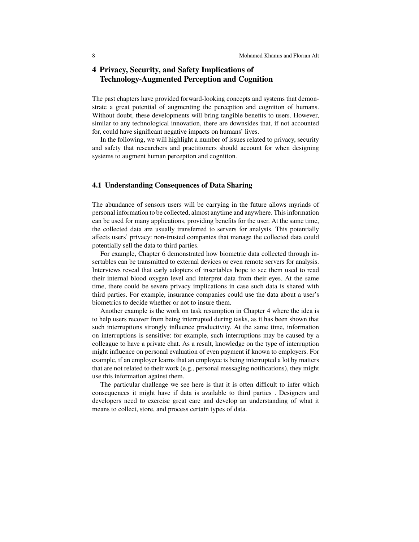# **4 Privacy, Security, and Safety Implications of Technology-Augmented Perception and Cognition**

The past chapters have provided forward-looking concepts and systems that demonstrate a great potential of augmenting the perception and cognition of humans. Without doubt, these developments will bring tangible benefits to users. However, similar to any technological innovation, there are downsides that, if not accounted for, could have significant negative impacts on humans' lives.

In the following, we will highlight a number of issues related to privacy, security and safety that researchers and practitioners should account for when designing systems to augment human perception and cognition.

#### **4.1 Understanding Consequences of Data Sharing**

The abundance of sensors users will be carrying in the future allows myriads of personal information to be collected, almost anytime and anywhere. This information can be used for many applications, providing benefits for the user. At the same time, the collected data are usually transferred to servers for analysis. This potentially affects users' privacy: non-trusted companies that manage the collected data could potentially sell the data to third parties.

For example, Chapter 6 demonstrated how biometric data collected through insertables can be transmitted to external devices or even remote servers for analysis. Interviews reveal that early adopters of insertables hope to see them used to read their internal blood oxygen level and interpret data from their eyes. At the same time, there could be severe privacy implications in case such data is shared with third parties. For example, insurance companies could use the data about a user's biometrics to decide whether or not to insure them.

Another example is the work on task resumption in Chapter 4 where the idea is to help users recover from being interrupted during tasks, as it has been shown that such interruptions strongly influence productivity. At the same time, information on interruptions is sensitive: for example, such interruptions may be caused by a colleague to have a private chat. As a result, knowledge on the type of interruption might influence on personal evaluation of even payment if known to employers. For example, if an employer learns that an employee is being interrupted a lot by matters that are not related to their work (e.g., personal messaging notifications), they might use this information against them.

The particular challenge we see here is that it is often difficult to infer which consequences it might have if data is available to third parties . Designers and developers need to exercise great care and develop an understanding of what it means to collect, store, and process certain types of data.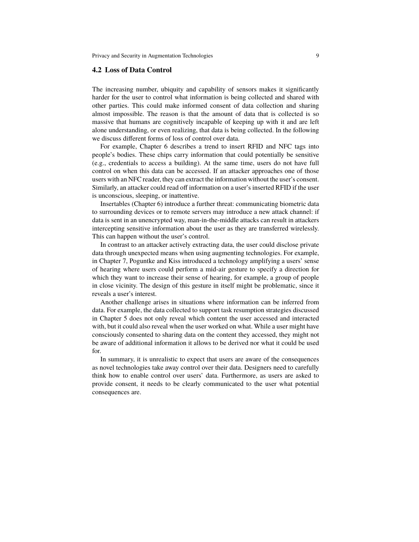#### **4.2 Loss of Data Control**

The increasing number, ubiquity and capability of sensors makes it significantly harder for the user to control what information is being collected and shared with other parties. This could make informed consent of data collection and sharing almost impossible. The reason is that the amount of data that is collected is so massive that humans are cognitively incapable of keeping up with it and are left alone understanding, or even realizing, that data is being collected. In the following we discuss different forms of loss of control over data.

For example, Chapter 6 describes a trend to insert RFID and NFC tags into people's bodies. These chips carry information that could potentially be sensitive (e.g., credentials to access a building). At the same time, users do not have full control on when this data can be accessed. If an attacker approaches one of those users with an NFC reader, they can extract the information without the user's consent. Similarly, an attacker could read off information on a user's inserted RFID if the user is unconscious, sleeping, or inattentive.

Insertables (Chapter 6) introduce a further threat: communicating biometric data to surrounding devices or to remote servers may introduce a new attack channel: if data is sent in an unencrypted way, man-in-the-middle attacks can result in attackers intercepting sensitive information about the user as they are transferred wirelessly. This can happen without the user's control.

In contrast to an attacker actively extracting data, the user could disclose private data through unexpected means when using augmenting technologies. For example, in Chapter 7, Poguntke and Kiss introduced a technology amplifying a users' sense of hearing where users could perform a mid-air gesture to specify a direction for which they want to increase their sense of hearing, for example, a group of people in close vicinity. The design of this gesture in itself might be problematic, since it reveals a user's interest.

Another challenge arises in situations where information can be inferred from data. For example, the data collected to support task resumption strategies discussed in Chapter 5 does not only reveal which content the user accessed and interacted with, but it could also reveal when the user worked on what. While a user might have consciously consented to sharing data on the content they accessed, they might not be aware of additional information it allows to be derived nor what it could be used for.

In summary, it is unrealistic to expect that users are aware of the consequences as novel technologies take away control over their data. Designers need to carefully think how to enable control over users' data. Furthermore, as users are asked to provide consent, it needs to be clearly communicated to the user what potential consequences are.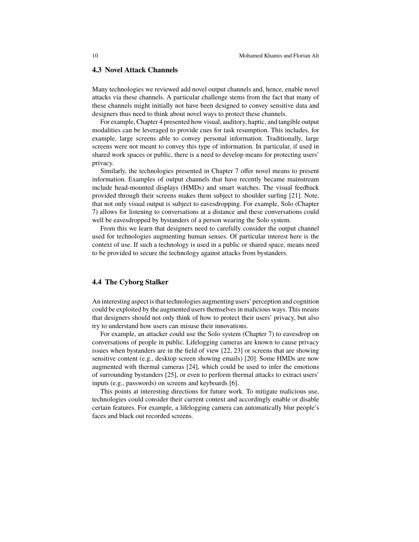#### **4.3 Novel Attack Channels**

Many technologies we reviewed add novel output channels and, hence, enable novel attacks via these channels. A particular challenge stems from the fact that many of these channels might initially not have been designed to convey sensitive data and designers thus need to think about novel ways to protect these channels.

For example, Chapter 4 presented how visual, auditory, haptic, and tangible output modalities can be leveraged to provide cues for task resumption. This includes, for example, large screens able to convey personal information. Traditionally, large screens were not meant to convey this type of information. In particular, if used in shared work spaces or public, there is a need to develop means for protecting users' privacy.

Similarly, the technologies presented in Chapter 7 offer novel means to present information. Examples of output channels that have recently became mainstream include head-mounted displays (HMDs) and smart watches. The visual feedback provided through their screens makes them subject to shoulder surfing [21]. Note, that not only visual output is subject to eavesdropping. For example, Solo (Chapter 7) allows for listening to conversations at a distance and these conversations could well be eavesdropped by bystanders of a person wearing the Solo system.

From this we learn that designers need to carefully consider the output channel used for technologies augmenting human senses. Of particular interest here is the context of use. If such a technology is used in a public or shared space, means need to be provided to secure the technology against attacks from bystanders.

# **4.4 The Cyborg Stalker**

An interesting aspect is that technologies augmenting users' perception and cognition could be exploited by the augmented users themselves in malicious ways. This means that designers should not only think of how to protect their users' privacy, but also try to understand how users can misuse their innovations.

For example, an attacker could use the Solo system (Chapter 7) to eavesdrop on conversations of people in public. Lifelogging cameras are known to cause privacy issues when bystanders are in the field of view [22, 23] or screens that are showing sensitive content (e.g., desktop screen showing emails) [20]. Some HMDs are now augmented with thermal cameras [24], which could be used to infer the emotions of surrounding bystanders [25], or even to perform thermal attacks to extract users' inputs (e.g., passwords) on screens and keyboards [6].

This points at interesting directions for future work. To mitigate malicious use, technologies could consider their current context and accordingly enable or disable certain features. For example, a lifelogging camera can automatically blur people's faces and black out recorded screens.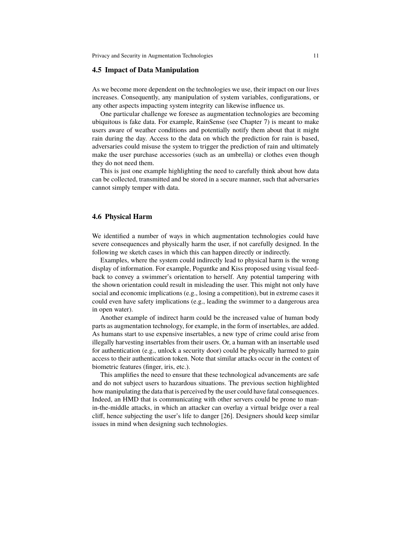#### **4.5 Impact of Data Manipulation**

As we become more dependent on the technologies we use, their impact on our lives increases. Consequently, any manipulation of system variables, configurations, or any other aspects impacting system integrity can likewise influence us.

One particular challenge we foresee as augmentation technologies are becoming ubiquitous is fake data. For example, RainSense (see Chapter 7) is meant to make users aware of weather conditions and potentially notify them about that it might rain during the day. Access to the data on which the prediction for rain is based, adversaries could misuse the system to trigger the prediction of rain and ultimately make the user purchase accessories (such as an umbrella) or clothes even though they do not need them.

This is just one example highlighting the need to carefully think about how data can be collected, transmitted and be stored in a secure manner, such that adversaries cannot simply temper with data.

### **4.6 Physical Harm**

We identified a number of ways in which augmentation technologies could have severe consequences and physically harm the user, if not carefully designed. In the following we sketch cases in which this can happen directly or indirectly.

Examples, where the system could indirectly lead to physical harm is the wrong display of information. For example, Poguntke and Kiss proposed using visual feedback to convey a swimmer's orientation to herself. Any potential tampering with the shown orientation could result in misleading the user. This might not only have social and economic implications (e.g., losing a competition), but in extreme cases it could even have safety implications (e.g., leading the swimmer to a dangerous area in open water).

Another example of indirect harm could be the increased value of human body parts as augmentation technology, for example, in the form of insertables, are added. As humans start to use expensive insertables, a new type of crime could arise from illegally harvesting insertables from their users. Or, a human with an insertable used for authentication (e.g., unlock a security door) could be physically harmed to gain access to their authentication token. Note that similar attacks occur in the context of biometric features (finger, iris, etc.).

This amplifies the need to ensure that these technological advancements are safe and do not subject users to hazardous situations. The previous section highlighted how manipulating the data that is perceived by the user could have fatal consequences. Indeed, an HMD that is communicating with other servers could be prone to manin-the-middle attacks, in which an attacker can overlay a virtual bridge over a real cliff, hence subjecting the user's life to danger [26]. Designers should keep similar issues in mind when designing such technologies.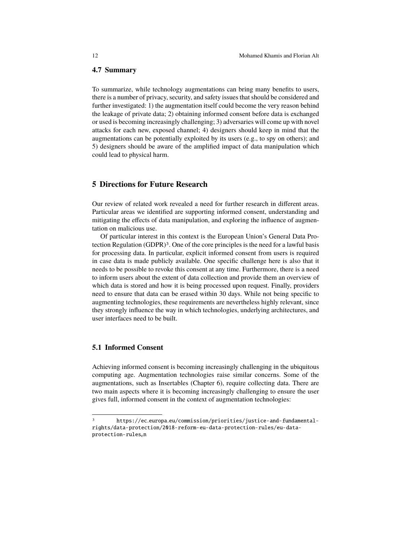#### **4.7 Summary**

To summarize, while technology augmentations can bring many benefits to users, there is a number of privacy, security, and safety issues that should be considered and further investigated: 1) the augmentation itself could become the very reason behind the leakage of private data; 2) obtaining informed consent before data is exchanged or used is becoming increasingly challenging; 3) adversaries will come up with novel attacks for each new, exposed channel; 4) designers should keep in mind that the augmentations can be potentially exploited by its users (e.g., to spy on others); and 5) designers should be aware of the amplified impact of data manipulation which could lead to physical harm.

# **5 Directions for Future Research**

Our review of related work revealed a need for further research in different areas. Particular areas we identified are supporting informed consent, understanding and mitigating the effects of data manipulation, and exploring the influence of augmentation on malicious use.

Of particular interest in this context is the European Union's General Data Protection Regulation (GDPR)<sup>3</sup>. One of the core principles is the need for a lawful basis for processing data. In particular, explicit informed consent from users is required in case data is made publicly available. One specific challenge here is also that it needs to be possible to revoke this consent at any time. Furthermore, there is a need to inform users about the extent of data collection and provide them an overview of which data is stored and how it is being processed upon request. Finally, providers need to ensure that data can be erased within 30 days. While not being specific to augmenting technologies, these requirements are nevertheless highly relevant, since they strongly influence the way in which technologies, underlying architectures, and user interfaces need to be built.

# **5.1 Informed Consent**

Achieving informed consent is becoming increasingly challenging in the ubiquitous computing age. Augmentation technologies raise similar concerns. Some of the augmentations, such as Insertables (Chapter 6), require collecting data. There are two main aspects where it is becoming increasingly challenging to ensure the user gives full, informed consent in the context of augmentation technologies:

<sup>3</sup> https://ec.europa.eu/commission/priorities/justice-and-fundamentalrights/data-protection/2018-reform-eu-data-protection-rules/eu-data $protection-rules<sub>e</sub>n$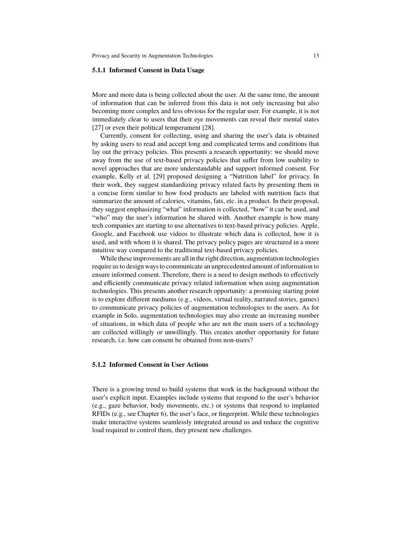#### **5.1.1 Informed Consent in Data Usage**

More and more data is being collected about the user. At the same time, the amount of information that can be inferred from this data is not only increasing but also becoming more complex and less obvious for the regular user. For example, it is not immediately clear to users that their eye movements can reveal their mental states [27] or even their political temperament [28].

Currently, consent for collecting, using and sharing the user's data is obtained by asking users to read and accept long and complicated terms and conditions that lay out the privacy policies. This presents a research opportunity: we should move away from the use of text-based privacy policies that suffer from low usability to novel approaches that are more understandable and support informed consent. For example, Kelly et al. [29] proposed designing a "Nutrition label" for privacy. In their work, they suggest standardizing privacy related facts by presenting them in a concise form similar to how food products are labeled with nutrition facts that summarize the amount of calories, vitamins, fats, etc. in a product. In their proposal, they suggest emphasizing "what" information is collected, "how" it can be used, and "who" may the user's information be shared with. Another example is how many tech companies are starting to use alternatives to text-based privacy policies. Apple, Google, and Facebook use videos to illustrate which data is collected, how it is used, and with whom it is shared. The privacy policy pages are structured in a more intuitive way compared to the traditional text-based privacy policies.

While these improvements are all in the right direction, augmentation technologies require us to design ways to communicate an unprecedented amount of information to ensure informed consent. Therefore, there is a need to design methods to effectively and efficiently communicate privacy related information when using augmentation technologies. This presents another research opportunity: a promising starting point is to explore different mediums (e.g., videos, virtual reality, narrated stories, games) to communicate privacy policies of augmentation technologies to the users. As for example in Solo, augmentation technologies may also create an increasing number of situations, in which data of people who are not the main users of a technology are collected willingly or unwillingly. This creates another opportunity for future research, i.e. how can consent be obtained from non-users?

#### **5.1.2 Informed Consent in User Actions**

There is a growing trend to build systems that work in the background without the user's explicit input. Examples include systems that respond to the user's behavior (e.g., gaze behavior, body movements, etc.) or systems that respond to implanted RFIDs (e.g., see Chapter 6), the user's face, or fingerprint. While these technologies make interactive systems seamlessly integrated around us and reduce the cognitive load required to control them, they present new challenges.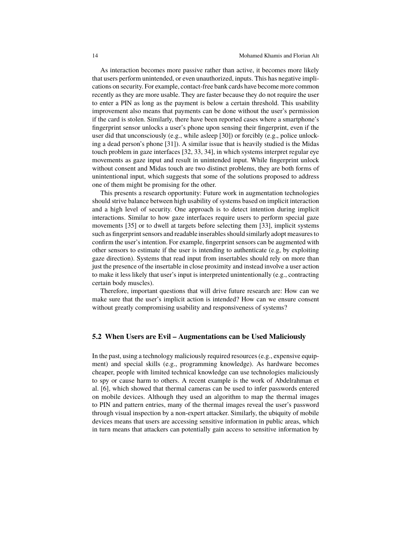As interaction becomes more passive rather than active, it becomes more likely that users perform unintended, or even unauthorized, inputs. This has negative implications on security. For example, contact-free bank cards have become more common recently as they are more usable. They are faster because they do not require the user to enter a PIN as long as the payment is below a certain threshold. This usability improvement also means that payments can be done without the user's permission if the card is stolen. Similarly, there have been reported cases where a smartphone's fingerprint sensor unlocks a user's phone upon sensing their fingerprint, even if the user did that unconsciously (e.g., while asleep [30]) or forcibly (e.g., police unlocking a dead person's phone [31]). A similar issue that is heavily studied is the Midas touch problem in gaze interfaces [32, 33, 34], in which systems interpret regular eye movements as gaze input and result in unintended input. While fingerprint unlock without consent and Midas touch are two distinct problems, they are both forms of unintentional input, which suggests that some of the solutions proposed to address one of them might be promising for the other.

This presents a research opportunity: Future work in augmentation technologies should strive balance between high usability of systems based on implicit interaction and a high level of security. One approach is to detect intention during implicit interactions. Similar to how gaze interfaces require users to perform special gaze movements [35] or to dwell at targets before selecting them [33], implicit systems such as fingerprint sensors and readable inserables should similarly adopt measures to confirm the user's intention. For example, fingerprint sensors can be augmented with other sensors to estimate if the user is intending to authenticate (e.g, by exploiting gaze direction). Systems that read input from insertables should rely on more than just the presence of the insertable in close proximity and instead involve a user action to make it less likely that user's input is interpreted unintentionally (e.g., contracting certain body muscles).

Therefore, important questions that will drive future research are: How can we make sure that the user's implicit action is intended? How can we ensure consent without greatly compromising usability and responsiveness of systems?

#### **5.2 When Users are Evil – Augmentations can be Used Maliciously**

In the past, using a technology maliciously required resources (e.g., expensive equipment) and special skills (e.g., programming knowledge). As hardware becomes cheaper, people with limited technical knowledge can use technologies maliciously to spy or cause harm to others. A recent example is the work of Abdelrahman et al. [6], which showed that thermal cameras can be used to infer passwords entered on mobile devices. Although they used an algorithm to map the thermal images to PIN and pattern entries, many of the thermal images reveal the user's password through visual inspection by a non-expert attacker. Similarly, the ubiquity of mobile devices means that users are accessing sensitive information in public areas, which in turn means that attackers can potentially gain access to sensitive information by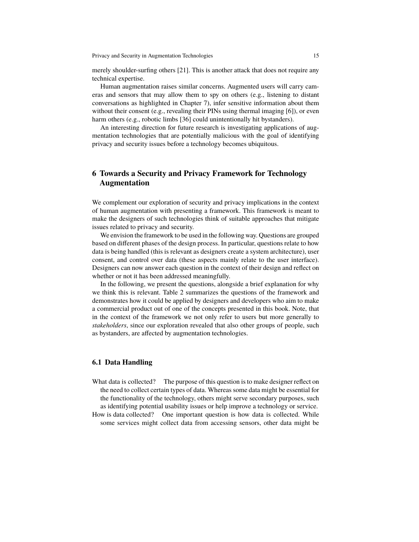merely shoulder-surfing others [21]. This is another attack that does not require any technical expertise.

Human augmentation raises similar concerns. Augmented users will carry cameras and sensors that may allow them to spy on others (e.g., listening to distant conversations as highlighted in Chapter 7), infer sensitive information about them without their consent (e.g., revealing their PINs using thermal imaging [6]), or even harm others (e.g., robotic limbs [36] could unintentionally hit bystanders).

An interesting direction for future research is investigating applications of augmentation technologies that are potentially malicious with the goal of identifying privacy and security issues before a technology becomes ubiquitous.

# **6 Towards a Security and Privacy Framework for Technology Augmentation**

We complement our exploration of security and privacy implications in the context of human augmentation with presenting a framework. This framework is meant to make the designers of such technologies think of suitable approaches that mitigate issues related to privacy and security.

We envision the framework to be used in the following way. Questions are grouped based on different phases of the design process. In particular, questions relate to how data is being handled (this is relevant as designers create a system architecture), user consent, and control over data (these aspects mainly relate to the user interface). Designers can now answer each question in the context of their design and reflect on whether or not it has been addressed meaningfully.

In the following, we present the questions, alongside a brief explanation for why we think this is relevant. Table 2 summarizes the questions of the framework and demonstrates how it could be applied by designers and developers who aim to make a commercial product out of one of the concepts presented in this book. Note, that in the context of the framework we not only refer to users but more generally to *stakeholders*, since our exploration revealed that also other groups of people, such as bystanders, are affected by augmentation technologies.

### **6.1 Data Handling**

- What data is collected? The purpose of this question is to make designer reflect on the need to collect certain types of data. Whereas some data might be essential for the functionality of the technology, others might serve secondary purposes, such as identifying potential usability issues or help improve a technology or service. How is data collected? One important question is how data is collected. While
- some services might collect data from accessing sensors, other data might be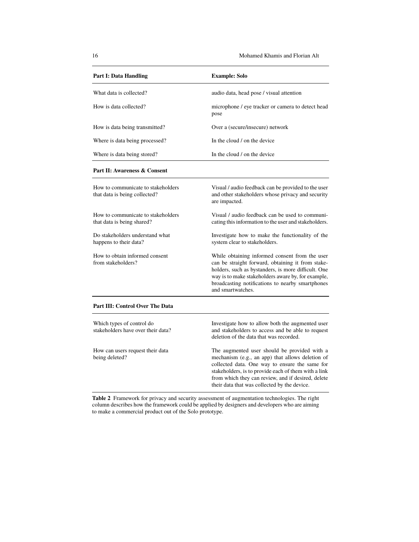| Part I: Data Handling                                               | <b>Example: Solo</b>                                                                                                                                                                                                                                                                      |  |
|---------------------------------------------------------------------|-------------------------------------------------------------------------------------------------------------------------------------------------------------------------------------------------------------------------------------------------------------------------------------------|--|
| What data is collected?                                             | audio data, head pose / visual attention                                                                                                                                                                                                                                                  |  |
| How is data collected?                                              | microphone / eye tracker or camera to detect head<br>pose                                                                                                                                                                                                                                 |  |
| How is data being transmitted?                                      | Over a (secure/insecure) network                                                                                                                                                                                                                                                          |  |
| Where is data being processed?                                      | In the cloud / on the device                                                                                                                                                                                                                                                              |  |
| Where is data being stored?                                         | In the cloud / on the device                                                                                                                                                                                                                                                              |  |
| Part II: Awareness & Consent                                        |                                                                                                                                                                                                                                                                                           |  |
| How to communicate to stakeholders<br>that data is being collected? | Visual / audio feedback can be provided to the user<br>and other stakeholders whose privacy and security<br>are impacted.                                                                                                                                                                 |  |
| How to communicate to stakeholders<br>that data is being shared?    | Visual / audio feedback can be used to communi-<br>cating this information to the user and stakeholders.                                                                                                                                                                                  |  |
| Do stakeholders understand what<br>happens to their data?           | Investigate how to make the functionality of the<br>system clear to stakeholders.                                                                                                                                                                                                         |  |
| How to obtain informed consent<br>from stakeholders?                | While obtaining informed consent from the user<br>can be straight forward, obtaining it from stake-<br>holders, such as bystanders, is more difficult. One<br>way is to make stakeholders aware by, for example,<br>broadcasting notifications to nearby smartphones<br>and smartwatches. |  |

#### **Part III: Control Over The Data**

| Which types of control do<br>stakeholders have over their data? | Investigate how to allow both the augmented user<br>and stakeholders to access and be able to request<br>deletion of the data that was recorded.                                                                                                                                                                 |
|-----------------------------------------------------------------|------------------------------------------------------------------------------------------------------------------------------------------------------------------------------------------------------------------------------------------------------------------------------------------------------------------|
| How can users request their data<br>being deleted?              | The augmented user should be provided with a<br>mechanism (e.g., an app) that allows deletion of<br>collected data. One way to ensure the same for<br>stakeholders, is to provide each of them with a link<br>from which they can review, and if desired, delete<br>their data that was collected by the device. |

**Table 2** Framework for privacy and security assessment of augmentation technologies. The right column describes how the framework could be applied by designers and developers who are aiming to make a commercial product out of the Solo prototype.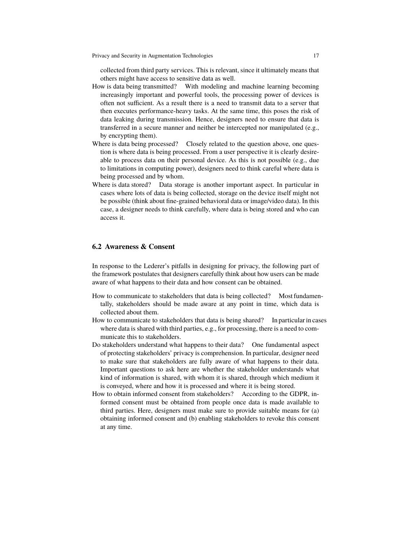collected from third party services. This is relevant, since it ultimately means that others might have access to sensitive data as well.

- How is data being transmitted? With modeling and machine learning becoming increasingly important and powerful tools, the processing power of devices is often not sufficient. As a result there is a need to transmit data to a server that then executes performance-heavy tasks. At the same time, this poses the risk of data leaking during transmission. Hence, designers need to ensure that data is transferred in a secure manner and neither be intercepted nor manipulated (e.g., by encrypting them).
- Where is data being processed? Closely related to the question above, one question is where data is being processed. From a user perspective it is clearly desireable to process data on their personal device. As this is not possible (e.g., due to limitations in computing power), designers need to think careful where data is being processed and by whom.
- Where is data stored? Data storage is another important aspect. In particular in cases where lots of data is being collected, storage on the device itself might not be possible (think about fine-grained behavioral data or image/video data). In this case, a designer needs to think carefully, where data is being stored and who can access it.

# **6.2 Awareness & Consent**

In response to the Lederer's pitfalls in designing for privacy, the following part of the framework postulates that designers carefully think about how users can be made aware of what happens to their data and how consent can be obtained.

- How to communicate to stakeholders that data is being collected? Most fundamentally, stakeholders should be made aware at any point in time, which data is collected about them.
- How to communicate to stakeholders that data is being shared? In particular in cases where data is shared with third parties, e.g., for processing, there is a need to communicate this to stakeholders.
- Do stakeholders understand what happens to their data? One fundamental aspect of protecting stakeholders' privacy is comprehension. In particular, designer need to make sure that stakeholders are fully aware of what happens to their data. Important questions to ask here are whether the stakeholder understands what kind of information is shared, with whom it is shared, through which medium it is conveyed, where and how it is processed and where it is being stored.
- How to obtain informed consent from stakeholders? According to the GDPR, informed consent must be obtained from people once data is made available to third parties. Here, designers must make sure to provide suitable means for (a) obtaining informed consent and (b) enabling stakeholders to revoke this consent at any time.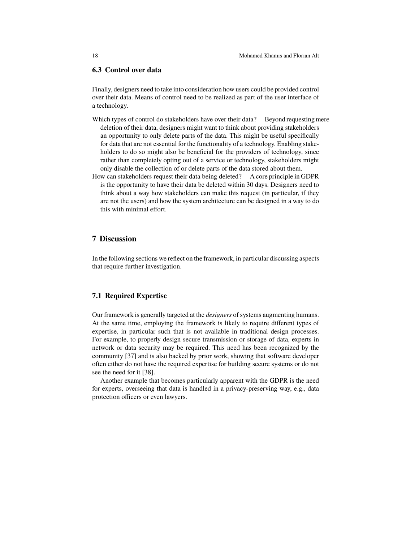#### **6.3 Control over data**

Finally, designers need to take into consideration how users could be provided control over their data. Means of control need to be realized as part of the user interface of a technology.

- Which types of control do stakeholders have over their data? Beyond requesting mere deletion of their data, designers might want to think about providing stakeholders an opportunity to only delete parts of the data. This might be useful specifically for data that are not essential for the functionality of a technology. Enabling stakeholders to do so might also be beneficial for the providers of technology, since rather than completely opting out of a service or technology, stakeholders might only disable the collection of or delete parts of the data stored about them.
- How can stakeholders request their data being deleted? A core principle in GDPR is the opportunity to have their data be deleted within 30 days. Designers need to think about a way how stakeholders can make this request (in particular, if they are not the users) and how the system architecture can be designed in a way to do this with minimal effort.

# **7 Discussion**

In the following sections we reflect on the framework, in particular discussing aspects that require further investigation.

### **7.1 Required Expertise**

Our framework is generally targeted at the *designers* of systems augmenting humans. At the same time, employing the framework is likely to require different types of expertise, in particular such that is not available in traditional design processes. For example, to properly design secure transmission or storage of data, experts in network or data security may be required. This need has been recognized by the community [37] and is also backed by prior work, showing that software developer often either do not have the required expertise for building secure systems or do not see the need for it [38].

Another example that becomes particularly apparent with the GDPR is the need for experts, overseeing that data is handled in a privacy-preserving way, e.g., data protection officers or even lawyers.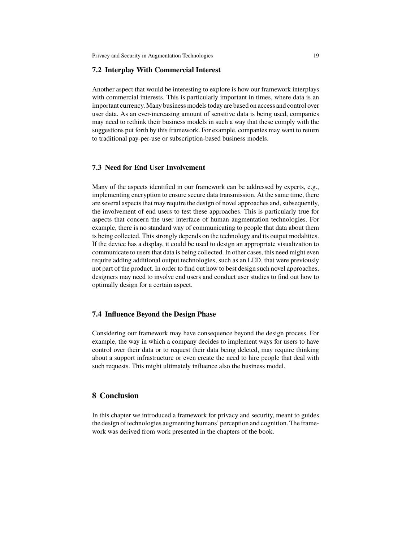#### **7.2 Interplay With Commercial Interest**

Another aspect that would be interesting to explore is how our framework interplays with commercial interests. This is particularly important in times, where data is an important currency. Many business models today are based on access and control over user data. As an ever-increasing amount of sensitive data is being used, companies may need to rethink their business models in such a way that these comply with the suggestions put forth by this framework. For example, companies may want to return to traditional pay-per-use or subscription-based business models.

# **7.3 Need for End User Involvement**

Many of the aspects identified in our framework can be addressed by experts, e.g., implementing encryption to ensure secure data transmission. At the same time, there are several aspects that may require the design of novel approaches and, subsequently, the involvement of end users to test these approaches. This is particularly true for aspects that concern the user interface of human augmentation technologies. For example, there is no standard way of communicating to people that data about them is being collected. This strongly depends on the technology and its output modalities. If the device has a display, it could be used to design an appropriate visualization to communicate to users that data is being collected. In other cases, this need might even require adding additional output technologies, such as an LED, that were previously not part of the product. In order to find out how to best design such novel approaches, designers may need to involve end users and conduct user studies to find out how to optimally design for a certain aspect.

### **7.4 Influence Beyond the Design Phase**

Considering our framework may have consequence beyond the design process. For example, the way in which a company decides to implement ways for users to have control over their data or to request their data being deleted, may require thinking about a support infrastructure or even create the need to hire people that deal with such requests. This might ultimately influence also the business model.

# **8 Conclusion**

In this chapter we introduced a framework for privacy and security, meant to guides the design of technologies augmenting humans' perception and cognition. The framework was derived from work presented in the chapters of the book.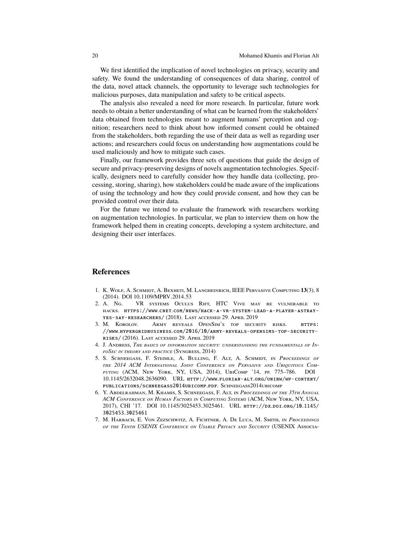We first identified the implication of novel technologies on privacy, security and safety. We found the understanding of consequences of data sharing, control of the data, novel attack channels, the opportunity to leverage such technologies for malicious purposes, data manipulation and safety to be critical aspects.

The analysis also revealed a need for more research. In particular, future work needs to obtain a better understanding of what can be learned from the stakeholders' data obtained from technologies meant to augment humans' perception and cognition; researchers need to think about how informed consent could be obtained from the stakeholders, both regarding the use of their data as well as regarding user actions; and researchers could focus on understanding how augmentations could be used maliciously and how to mitigate such cases.

Finally, our framework provides three sets of questions that guide the design of secure and privacy-preserving designs of novelx augmentation technologies. Specifically, designers need to carefully consider how they handle data (collecting, processing, storing, sharing), how stakeholders could be made aware of the implications of using the technology and how they could provide consent, and how they can be provided control over their data.

For the future we intend to evaluate the framework with researchers working on augmentation technologies. In particular, we plan to interview them on how the framework helped them in creating concepts, developing a system architecture, and designing their user interfaces.

### **References**

- 1. K. Wolf, A. Schmidt, A. Bexheti, M. Langheinrich, IEEE Pervasive Computing **13**(3), 8 (2014). DOI 10.1109/MPRV.2014.53
- VR SYSTEMS OCULUS RIFT, HTC VIVE MAY BE VULNERABLE TO hacks. https://www.cnet.com/news/hack-a-vr-system-lead-a-player-astrayyes-say-researchers/ (2018). Last accessed 29. April 2019
- 3. M. Korolov. Army reveals OpenSim's top security risks. https: //www.hypergridbusiness.com/2016/10/army-reveals-opensims-top-securityrisks/ (2016). Last accessed 29. April 2019
- 4. J. Andress, *The basics of information security: understanding the fundamentals of InfoSec in theory and practice* (Syngress, 2014)
- 5. S. Schneegass, F. Steimle, A. Bulling, F. Alt, A. Schmidt, in *Proceedings of the 2014 ACM International Joint Conference on Pervasive and Ubiquitous Computing* (ACM, New York, NY, USA, 2014), UbiComp '14, pp. 775–786. DOI <sup>10</sup>.1145/2632048.2636090. URL http://www.florian-alt.org/unibw/wp-content/ publications/schneegass2014ubicomp.pdf. Schneegass2014ubicomp
- 6. Y. Abdelrahman, M. Khamis, S. Schneegass, F. Alt, in *Proceedings of the 35th Annual ACM Conference on Human Factors in Computing Systems* (ACM, New York, NY, USA, 2017), CHI '17. DOI 10.1145/3025453.3025461. URL  $\text{HTTP: //DX.D0I.ORG/10.1145/}$ <sup>3025453</sup>.<sup>3025461</sup> 7. M. Harbach, E. Von Zezschwitz, A. Fichtner, A. De Luca, M. Smith, in *Proceedings*
- *of the Tenth USENIX Conference on Usable Privacy and Security* (USENIX Associa-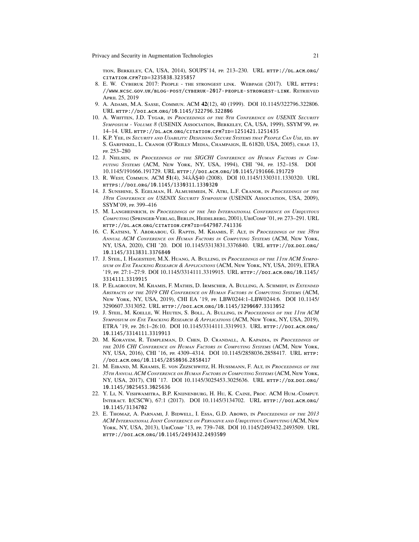tion, Berkeley, CA, USA, 2014), SOUPS'14, pp. 213–230. URL http://dl.acm.org/ citation.cfm?id=3235838.<sup>3235857</sup>

- 8. E. W. Cyberuk 2017: People the strongest link. Webpage (2017). URL https: //www.ncsc.gov.uk/blog-post/cyberuk-2017-people-strongest-link. Retrieved April 25, 2019
- 9. A. Adams, M.A. Sasse, Commun. ACM **<sup>42</sup>**(12), 40 (1999). DOI 10.1145/322796.322806. URL http://doi.acm.org/10.1145/322796.<sup>322806</sup>
- 10. A. Whitten, J.D. Tygar, in *Proceedings of the 8th Conference on USENIX Security Symposium - Volume 8* (USENIX Association, Berkeley, CA, USA, 1999), SSYM'99, pp. 14–14. URL http://dl.acm.org/citation.cfm?id=1251421.<sup>1251435</sup>
- 11. K.P. Yee, in *Security and Usability: Designing Secure Systems that People Can Use*, ed. by S. Garfinkel, L. Cranor (O'Reilly Media, Champaign, IL 61820, USA, 2005), chap. 13, pp. 253–280
- 12. J. Nielsen, in *Proceedings of the SIGCHI Conference on Human Factors in Computing Systems* (ACM, New York, NY, USA, 1994), CHI '94, pp. 152–158. DOI <sup>10</sup>.1145/191666.191729. URL http://doi.acm.org/10.1145/191666.<sup>191729</sup>
- 13. R. West, Commun. ACM **<sup>51</sup>**(4), 34âĂŞ40 (2008). DOI 10.1145/1330311.1330320. URL https://doi.org/10.1145/1330311.<sup>1330320</sup>
- 14. J. Sunshine, S. Egelman, H. Almuhimedi, N. Atri, L.F. Cranor, in *Proceedings of the 18th Conference on USENIX Security Symposium* (USENIX Association, USA, 2009), SSYM'09, pp. 399–416
- 15. M. Langheinrich, in *Proceedings of the 3rd International Conference on Ubiquitous Computing* (Springer-Verlag, Berlin, Heidelberg, 2001), UbiComp '01, pp. 273–291. URL http://dl.acm.org/citation.cfm?id=647987.<sup>741336</sup>
- 16. C. Katsini, Y. Abdrabou, G. Raptis, M. Khamis, F. Alt, in *Proceedings of the 38th Annual ACM Conference on Human Factors in Computing Systems* (ACM, New York, NY, USA, 2020), CHI '20. DOI 10.1145/3313831.3376840. URL HTTP://DX.DOI.ORG/ <sup>10</sup>.1145/3313831.<sup>3376840</sup>
- 17. J. Steil, I. Hagestedt, M.X. Huang, A. Bulling, in *Proceedings of the 11th ACM Symposium on Eye Tracking Research & Applications* (ACM, New York, NY, USA, 2019), ETRA '19, pp. 27:1–27:9. DOI 10.1145/3314111.3319915. URL http://doi.acm.org/10.1145/ <sup>3314111</sup>.<sup>3319915</sup>
- 18. P. Elagroudy, M. Khamis, F. Mathis, D. Irmscher, A. Bulling, A. Schmidt, in *Extended Abstracts of the 2019 CHI Conference on Human Factors in Computing Systems* (ACM, New York, NY, USA, 2019), CHI EA '19, pp. LBW0244:1–LBW0244:6. DOI 10.1145/ <sup>3290607</sup>.3313052. URL http://doi.acm.org/10.1145/3290607.<sup>3313052</sup>
- 19. J. Steil, M. Koelle, W. Heuten, S. Boll, A. Bulling, in *Proceedings of the 11th ACM Symposium on Eye Tracking Research & Applications* (ACM, New York, NY, USA, 2019), ETRA '19, pp. 26:1–26:10. DOI 10.1145/3314111.3319913. URL http://doi.acm.org/ <sup>10</sup>.1145/3314111.<sup>3319913</sup>
- 20. M. Korayem, R. Templeman, D. Chen, D. Crandall, A. Kapadia, in *Proceedings of the 2016 CHI Conference on Human Factors in Computing Systems* (ACM, New York, NY, USA, 2016), CHI '16, pp. 4309–4314. DOI 10.1145/2858036.2858417. URL http: //doi.acm.org/10.1145/2858036.<sup>2858417</sup>
- 21. M. Eiband, M. Khamis, E. von Zezschwitz, H. Hussmann, F. Alt, in *Proceedings of the 35th Annual ACM Conference on Human Factors in Computing Systems* (ACM, New York, NY, USA, 2017), CHI '17. DOI 10.1145/3025453.3025636. URL  $nrrr://px.pot.org/c}$ <sup>10</sup>.1145/3025453.<sup>3025636</sup>
- 22. Y. Li, N. Vishwamitra, B.P. Knijnenburg, H. Hu, K. Caine, Proc. ACM Hum.-Comput. Interact. **<sup>1</sup>**(CSCW), 67:1 (2017). DOI 10.1145/3134702. URL http://doi.acm.org/ <sup>10</sup>.1145/3134702
- 23. E. Thomaz, A. Parnami, J. Bidwell, I. Essa, G.D. Abowd, in *Proceedings of the 2013 ACM International Joint Conference on Pervasive and Ubiquitous Computing* (ACM, New York, NY, USA, 2013), UbiComp '13, pp. 739–748. DOI 10.1145/2493432.2493509. URL http://doi.acm.org/10.1145/2493432.<sup>2493509</sup>